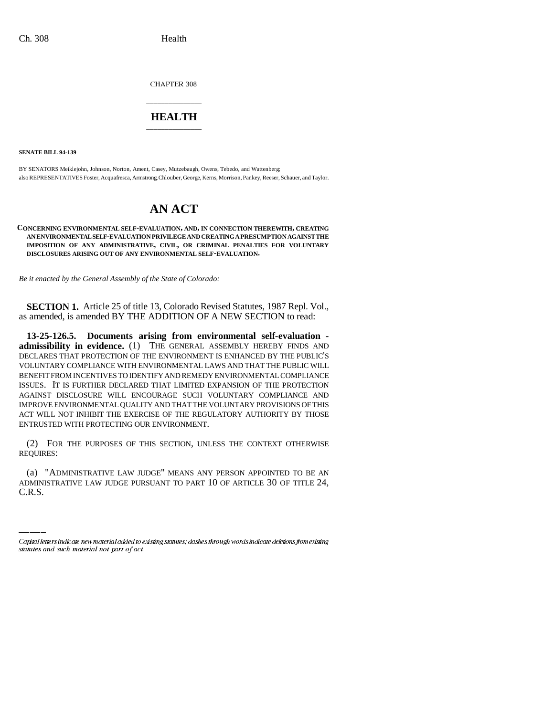CHAPTER 308

## \_\_\_\_\_\_\_\_\_\_\_\_\_\_\_ **HEALTH** \_\_\_\_\_\_\_\_\_\_\_\_\_\_\_

**SENATE BILL 94-139**

BY SENATORS Meiklejohn, Johnson, Norton, Ament, Casey, Mutzebaugh, Owens, Tebedo, and Wattenberg; also REPRESENTATIVES Foster, Acquafresca, Armstrong, Chlouber, George, Kerns, Morrison, Pankey, Reeser, Schauer, and Taylor.

# **AN ACT**

### **CONCERNING ENVIRONMENTAL SELF-EVALUATION, AND, IN CONNECTION THEREWITH, CREATING AN ENVIRONMENTAL SELF-EVALUATION PRIVILEGE AND CREATING A PRESUMPTION AGAINST THE IMPOSITION OF ANY ADMINISTRATIVE, CIVIL, OR CRIMINAL PENALTIES FOR VOLUNTARY DISCLOSURES ARISING OUT OF ANY ENVIRONMENTAL SELF-EVALUATION.**

*Be it enacted by the General Assembly of the State of Colorado:*

**SECTION 1.** Article 25 of title 13, Colorado Revised Statutes, 1987 Repl. Vol., as amended, is amended BY THE ADDITION OF A NEW SECTION to read:

**13-25-126.5. Documents arising from environmental self-evaluation admissibility in evidence.** (1) THE GENERAL ASSEMBLY HEREBY FINDS AND DECLARES THAT PROTECTION OF THE ENVIRONMENT IS ENHANCED BY THE PUBLIC'S VOLUNTARY COMPLIANCE WITH ENVIRONMENTAL LAWS AND THAT THE PUBLIC WILL BENEFIT FROM INCENTIVES TO IDENTIFY AND REMEDY ENVIRONMENTAL COMPLIANCE ISSUES. IT IS FURTHER DECLARED THAT LIMITED EXPANSION OF THE PROTECTION AGAINST DISCLOSURE WILL ENCOURAGE SUCH VOLUNTARY COMPLIANCE AND IMPROVE ENVIRONMENTAL QUALITY AND THAT THE VOLUNTARY PROVISIONS OF THIS ACT WILL NOT INHIBIT THE EXERCISE OF THE REGULATORY AUTHORITY BY THOSE ENTRUSTED WITH PROTECTING OUR ENVIRONMENT.

(2) FOR THE PURPOSES OF THIS SECTION, UNLESS THE CONTEXT OTHERWISE REQUIRES:

(a) "ADMINISTRATIVE LAW JUDGE" MEANS ANY PERSON APPOINTED TO BE AN ADMINISTRATIVE LAW JUDGE PURSUANT TO PART 10 OF ARTICLE 30 OF TITLE 24, C.R.S.

Capital letters indicate new material added to existing statutes; dashes through words indicate deletions from existing statutes and such material not part of act.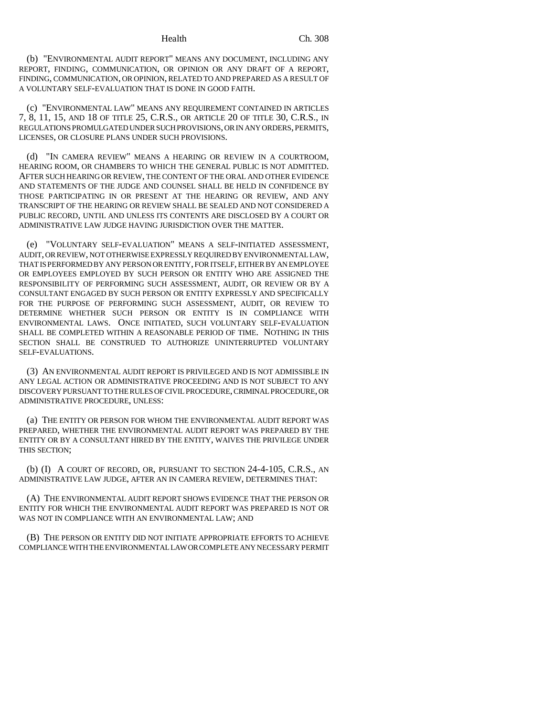(b) "ENVIRONMENTAL AUDIT REPORT" MEANS ANY DOCUMENT, INCLUDING ANY REPORT, FINDING, COMMUNICATION, OR OPINION OR ANY DRAFT OF A REPORT, FINDING, COMMUNICATION, OR OPINION, RELATED TO AND PREPARED AS A RESULT OF A VOLUNTARY SELF-EVALUATION THAT IS DONE IN GOOD FAITH.

(c) "ENVIRONMENTAL LAW" MEANS ANY REQUIREMENT CONTAINED IN ARTICLES 7, 8, 11, 15, AND 18 OF TITLE 25, C.R.S., OR ARTICLE 20 OF TITLE 30, C.R.S., IN REGULATIONS PROMULGATED UNDER SUCH PROVISIONS, OR IN ANY ORDERS, PERMITS, LICENSES, OR CLOSURE PLANS UNDER SUCH PROVISIONS.

(d) "IN CAMERA REVIEW" MEANS A HEARING OR REVIEW IN A COURTROOM, HEARING ROOM, OR CHAMBERS TO WHICH THE GENERAL PUBLIC IS NOT ADMITTED. AFTER SUCH HEARING OR REVIEW, THE CONTENT OF THE ORAL AND OTHER EVIDENCE AND STATEMENTS OF THE JUDGE AND COUNSEL SHALL BE HELD IN CONFIDENCE BY THOSE PARTICIPATING IN OR PRESENT AT THE HEARING OR REVIEW, AND ANY TRANSCRIPT OF THE HEARING OR REVIEW SHALL BE SEALED AND NOT CONSIDERED A PUBLIC RECORD, UNTIL AND UNLESS ITS CONTENTS ARE DISCLOSED BY A COURT OR ADMINISTRATIVE LAW JUDGE HAVING JURISDICTION OVER THE MATTER.

(e) "VOLUNTARY SELF-EVALUATION" MEANS A SELF-INITIATED ASSESSMENT, AUDIT, OR REVIEW, NOT OTHERWISE EXPRESSLY REQUIRED BY ENVIRONMENTAL LAW, THAT IS PERFORMED BY ANY PERSON OR ENTITY, FOR ITSELF, EITHER BY AN EMPLOYEE OR EMPLOYEES EMPLOYED BY SUCH PERSON OR ENTITY WHO ARE ASSIGNED THE RESPONSIBILITY OF PERFORMING SUCH ASSESSMENT, AUDIT, OR REVIEW OR BY A CONSULTANT ENGAGED BY SUCH PERSON OR ENTITY EXPRESSLY AND SPECIFICALLY FOR THE PURPOSE OF PERFORMING SUCH ASSESSMENT, AUDIT, OR REVIEW TO DETERMINE WHETHER SUCH PERSON OR ENTITY IS IN COMPLIANCE WITH ENVIRONMENTAL LAWS. ONCE INITIATED, SUCH VOLUNTARY SELF-EVALUATION SHALL BE COMPLETED WITHIN A REASONABLE PERIOD OF TIME. NOTHING IN THIS SECTION SHALL BE CONSTRUED TO AUTHORIZE UNINTERRUPTED VOLUNTARY SELF-EVALUATIONS.

(3) AN ENVIRONMENTAL AUDIT REPORT IS PRIVILEGED AND IS NOT ADMISSIBLE IN ANY LEGAL ACTION OR ADMINISTRATIVE PROCEEDING AND IS NOT SUBJECT TO ANY DISCOVERY PURSUANT TO THE RULES OF CIVIL PROCEDURE, CRIMINAL PROCEDURE, OR ADMINISTRATIVE PROCEDURE, UNLESS:

(a) THE ENTITY OR PERSON FOR WHOM THE ENVIRONMENTAL AUDIT REPORT WAS PREPARED, WHETHER THE ENVIRONMENTAL AUDIT REPORT WAS PREPARED BY THE ENTITY OR BY A CONSULTANT HIRED BY THE ENTITY, WAIVES THE PRIVILEGE UNDER THIS SECTION;

(b) (I) A COURT OF RECORD, OR, PURSUANT TO SECTION 24-4-105, C.R.S., AN ADMINISTRATIVE LAW JUDGE, AFTER AN IN CAMERA REVIEW, DETERMINES THAT:

(A) THE ENVIRONMENTAL AUDIT REPORT SHOWS EVIDENCE THAT THE PERSON OR ENTITY FOR WHICH THE ENVIRONMENTAL AUDIT REPORT WAS PREPARED IS NOT OR WAS NOT IN COMPLIANCE WITH AN ENVIRONMENTAL LAW; AND

(B) THE PERSON OR ENTITY DID NOT INITIATE APPROPRIATE EFFORTS TO ACHIEVE COMPLIANCE WITH THE ENVIRONMENTAL LAW OR COMPLETE ANY NECESSARY PERMIT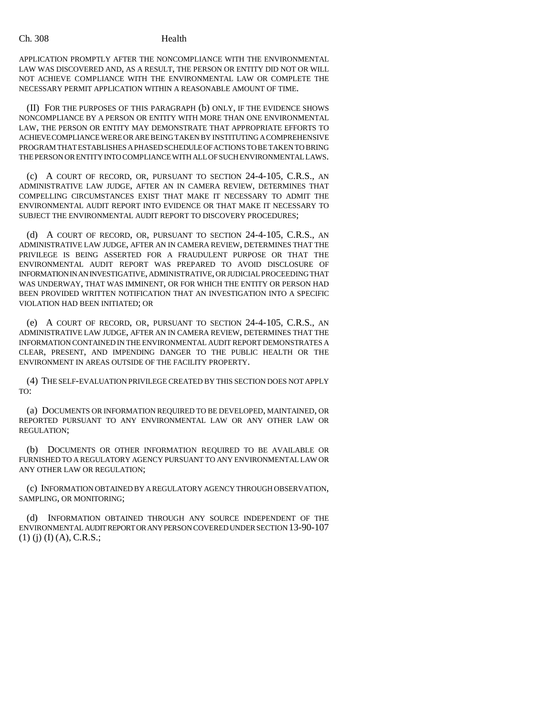APPLICATION PROMPTLY AFTER THE NONCOMPLIANCE WITH THE ENVIRONMENTAL LAW WAS DISCOVERED AND, AS A RESULT, THE PERSON OR ENTITY DID NOT OR WILL NOT ACHIEVE COMPLIANCE WITH THE ENVIRONMENTAL LAW OR COMPLETE THE NECESSARY PERMIT APPLICATION WITHIN A REASONABLE AMOUNT OF TIME.

(II) FOR THE PURPOSES OF THIS PARAGRAPH (b) ONLY, IF THE EVIDENCE SHOWS NONCOMPLIANCE BY A PERSON OR ENTITY WITH MORE THAN ONE ENVIRONMENTAL LAW, THE PERSON OR ENTITY MAY DEMONSTRATE THAT APPROPRIATE EFFORTS TO ACHIEVE COMPLIANCE WERE OR ARE BEING TAKEN BY INSTITUTING A COMPREHENSIVE PROGRAM THAT ESTABLISHES A PHASED SCHEDULE OF ACTIONS TO BE TAKEN TO BRING THE PERSON OR ENTITY INTO COMPLIANCE WITH ALL OF SUCH ENVIRONMENTAL LAWS.

(c) A COURT OF RECORD, OR, PURSUANT TO SECTION 24-4-105, C.R.S., AN ADMINISTRATIVE LAW JUDGE, AFTER AN IN CAMERA REVIEW, DETERMINES THAT COMPELLING CIRCUMSTANCES EXIST THAT MAKE IT NECESSARY TO ADMIT THE ENVIRONMENTAL AUDIT REPORT INTO EVIDENCE OR THAT MAKE IT NECESSARY TO SUBJECT THE ENVIRONMENTAL AUDIT REPORT TO DISCOVERY PROCEDURES;

(d) A COURT OF RECORD, OR, PURSUANT TO SECTION 24-4-105, C.R.S., AN ADMINISTRATIVE LAW JUDGE, AFTER AN IN CAMERA REVIEW, DETERMINES THAT THE PRIVILEGE IS BEING ASSERTED FOR A FRAUDULENT PURPOSE OR THAT THE ENVIRONMENTAL AUDIT REPORT WAS PREPARED TO AVOID DISCLOSURE OF INFORMATION IN AN INVESTIGATIVE, ADMINISTRATIVE, OR JUDICIAL PROCEEDING THAT WAS UNDERWAY, THAT WAS IMMINENT, OR FOR WHICH THE ENTITY OR PERSON HAD BEEN PROVIDED WRITTEN NOTIFICATION THAT AN INVESTIGATION INTO A SPECIFIC VIOLATION HAD BEEN INITIATED; OR

(e) A COURT OF RECORD, OR, PURSUANT TO SECTION 24-4-105, C.R.S., AN ADMINISTRATIVE LAW JUDGE, AFTER AN IN CAMERA REVIEW, DETERMINES THAT THE INFORMATION CONTAINED IN THE ENVIRONMENTAL AUDIT REPORT DEMONSTRATES A CLEAR, PRESENT, AND IMPENDING DANGER TO THE PUBLIC HEALTH OR THE ENVIRONMENT IN AREAS OUTSIDE OF THE FACILITY PROPERTY.

(4) THE SELF-EVALUATION PRIVILEGE CREATED BY THIS SECTION DOES NOT APPLY TO:

(a) DOCUMENTS OR INFORMATION REQUIRED TO BE DEVELOPED, MAINTAINED, OR REPORTED PURSUANT TO ANY ENVIRONMENTAL LAW OR ANY OTHER LAW OR REGULATION;

(b) DOCUMENTS OR OTHER INFORMATION REQUIRED TO BE AVAILABLE OR FURNISHED TO A REGULATORY AGENCY PURSUANT TO ANY ENVIRONMENTAL LAW OR ANY OTHER LAW OR REGULATION;

(c) INFORMATION OBTAINED BY A REGULATORY AGENCY THROUGH OBSERVATION, SAMPLING, OR MONITORING;

(d) INFORMATION OBTAINED THROUGH ANY SOURCE INDEPENDENT OF THE ENVIRONMENTAL AUDIT REPORT OR ANY PERSON COVERED UNDER SECTION 13-90-107  $(1)$  (j) (I) (A), C.R.S.;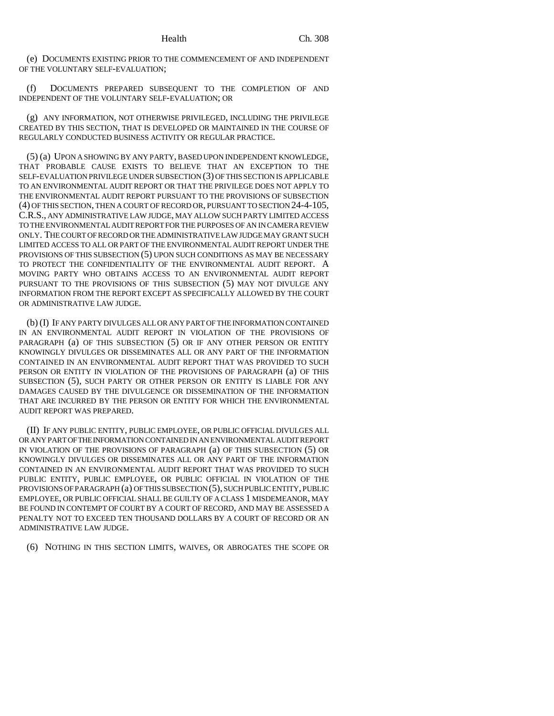(e) DOCUMENTS EXISTING PRIOR TO THE COMMENCEMENT OF AND INDEPENDENT OF THE VOLUNTARY SELF-EVALUATION;

(f) DOCUMENTS PREPARED SUBSEQUENT TO THE COMPLETION OF AND INDEPENDENT OF THE VOLUNTARY SELF-EVALUATION; OR

(g) ANY INFORMATION, NOT OTHERWISE PRIVILEGED, INCLUDING THE PRIVILEGE CREATED BY THIS SECTION, THAT IS DEVELOPED OR MAINTAINED IN THE COURSE OF REGULARLY CONDUCTED BUSINESS ACTIVITY OR REGULAR PRACTICE.

(5) (a) UPON A SHOWING BY ANY PARTY, BASED UPON INDEPENDENT KNOWLEDGE, THAT PROBABLE CAUSE EXISTS TO BELIEVE THAT AN EXCEPTION TO THE SELF-EVALUATION PRIVILEGE UNDER SUBSECTION (3) OF THIS SECTION IS APPLICABLE TO AN ENVIRONMENTAL AUDIT REPORT OR THAT THE PRIVILEGE DOES NOT APPLY TO THE ENVIRONMENTAL AUDIT REPORT PURSUANT TO THE PROVISIONS OF SUBSECTION (4) OF THIS SECTION, THEN A COURT OF RECORD OR, PURSUANT TO SECTION 24-4-105, C.R.S., ANY ADMINISTRATIVE LAW JUDGE, MAY ALLOW SUCH PARTY LIMITED ACCESS TO THE ENVIRONMENTAL AUDIT REPORT FOR THE PURPOSES OF AN IN CAMERA REVIEW ONLY. THE COURT OF RECORD OR THE ADMINISTRATIVE LAW JUDGE MAY GRANT SUCH LIMITED ACCESS TO ALL OR PART OF THE ENVIRONMENTAL AUDIT REPORT UNDER THE PROVISIONS OF THIS SUBSECTION (5) UPON SUCH CONDITIONS AS MAY BE NECESSARY TO PROTECT THE CONFIDENTIALITY OF THE ENVIRONMENTAL AUDIT REPORT. A MOVING PARTY WHO OBTAINS ACCESS TO AN ENVIRONMENTAL AUDIT REPORT PURSUANT TO THE PROVISIONS OF THIS SUBSECTION (5) MAY NOT DIVULGE ANY INFORMATION FROM THE REPORT EXCEPT AS SPECIFICALLY ALLOWED BY THE COURT OR ADMINISTRATIVE LAW JUDGE.

(b) (I) IF ANY PARTY DIVULGES ALL OR ANY PART OF THE INFORMATION CONTAINED IN AN ENVIRONMENTAL AUDIT REPORT IN VIOLATION OF THE PROVISIONS OF PARAGRAPH (a) OF THIS SUBSECTION (5) OR IF ANY OTHER PERSON OR ENTITY KNOWINGLY DIVULGES OR DISSEMINATES ALL OR ANY PART OF THE INFORMATION CONTAINED IN AN ENVIRONMENTAL AUDIT REPORT THAT WAS PROVIDED TO SUCH PERSON OR ENTITY IN VIOLATION OF THE PROVISIONS OF PARAGRAPH (a) OF THIS SUBSECTION (5), SUCH PARTY OR OTHER PERSON OR ENTITY IS LIABLE FOR ANY DAMAGES CAUSED BY THE DIVULGENCE OR DISSEMINATION OF THE INFORMATION THAT ARE INCURRED BY THE PERSON OR ENTITY FOR WHICH THE ENVIRONMENTAL AUDIT REPORT WAS PREPARED.

(II) IF ANY PUBLIC ENTITY, PUBLIC EMPLOYEE, OR PUBLIC OFFICIAL DIVULGES ALL OR ANY PART OF THE INFORMATION CONTAINED IN AN ENVIRONMENTAL AUDIT REPORT IN VIOLATION OF THE PROVISIONS OF PARAGRAPH (a) OF THIS SUBSECTION (5) OR KNOWINGLY DIVULGES OR DISSEMINATES ALL OR ANY PART OF THE INFORMATION CONTAINED IN AN ENVIRONMENTAL AUDIT REPORT THAT WAS PROVIDED TO SUCH PUBLIC ENTITY, PUBLIC EMPLOYEE, OR PUBLIC OFFICIAL IN VIOLATION OF THE PROVISIONS OF PARAGRAPH (a) OF THIS SUBSECTION (5), SUCH PUBLIC ENTITY, PUBLIC EMPLOYEE, OR PUBLIC OFFICIAL SHALL BE GUILTY OF A CLASS 1 MISDEMEANOR, MAY BE FOUND IN CONTEMPT OF COURT BY A COURT OF RECORD, AND MAY BE ASSESSED A PENALTY NOT TO EXCEED TEN THOUSAND DOLLARS BY A COURT OF RECORD OR AN ADMINISTRATIVE LAW JUDGE.

(6) NOTHING IN THIS SECTION LIMITS, WAIVES, OR ABROGATES THE SCOPE OR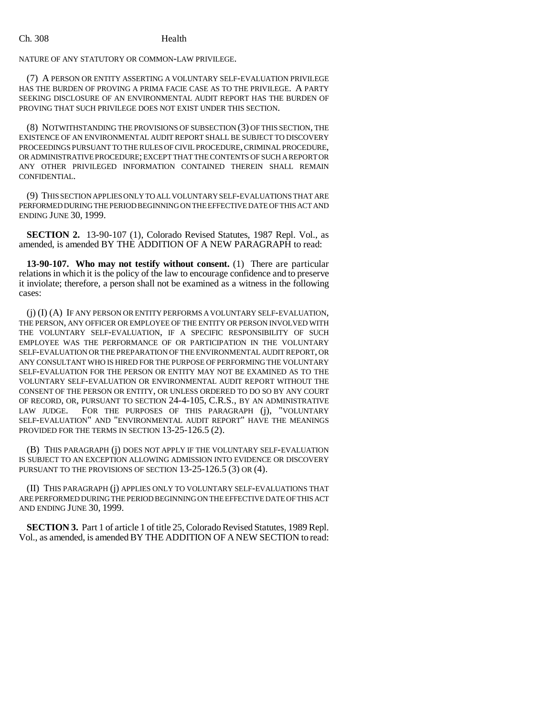NATURE OF ANY STATUTORY OR COMMON-LAW PRIVILEGE.

(7) A PERSON OR ENTITY ASSERTING A VOLUNTARY SELF-EVALUATION PRIVILEGE HAS THE BURDEN OF PROVING A PRIMA FACIE CASE AS TO THE PRIVILEGE. A PARTY SEEKING DISCLOSURE OF AN ENVIRONMENTAL AUDIT REPORT HAS THE BURDEN OF PROVING THAT SUCH PRIVILEGE DOES NOT EXIST UNDER THIS SECTION.

(8) NOTWITHSTANDING THE PROVISIONS OF SUBSECTION (3) OF THIS SECTION, THE EXISTENCE OF AN ENVIRONMENTAL AUDIT REPORT SHALL BE SUBJECT TO DISCOVERY PROCEEDINGS PURSUANT TO THE RULES OF CIVIL PROCEDURE, CRIMINAL PROCEDURE, OR ADMINISTRATIVE PROCEDURE; EXCEPT THAT THE CONTENTS OF SUCH A REPORT OR ANY OTHER PRIVILEGED INFORMATION CONTAINED THEREIN SHALL REMAIN CONFIDENTIAL.

(9) THIS SECTION APPLIES ONLY TO ALL VOLUNTARY SELF-EVALUATIONS THAT ARE PERFORMED DURING THE PERIOD BEGINNING ON THE EFFECTIVE DATE OF THIS ACT AND ENDING JUNE 30, 1999.

**SECTION 2.** 13-90-107 (1), Colorado Revised Statutes, 1987 Repl. Vol., as amended, is amended BY THE ADDITION OF A NEW PARAGRAPH to read:

**13-90-107. Who may not testify without consent.** (1) There are particular relations in which it is the policy of the law to encourage confidence and to preserve it inviolate; therefore, a person shall not be examined as a witness in the following cases:

(j) (I) (A) IF ANY PERSON OR ENTITY PERFORMS A VOLUNTARY SELF-EVALUATION, THE PERSON, ANY OFFICER OR EMPLOYEE OF THE ENTITY OR PERSON INVOLVED WITH THE VOLUNTARY SELF-EVALUATION, IF A SPECIFIC RESPONSIBILITY OF SUCH EMPLOYEE WAS THE PERFORMANCE OF OR PARTICIPATION IN THE VOLUNTARY SELF-EVALUATION OR THE PREPARATION OF THE ENVIRONMENTAL AUDIT REPORT, OR ANY CONSULTANT WHO IS HIRED FOR THE PURPOSE OF PERFORMING THE VOLUNTARY SELF-EVALUATION FOR THE PERSON OR ENTITY MAY NOT BE EXAMINED AS TO THE VOLUNTARY SELF-EVALUATION OR ENVIRONMENTAL AUDIT REPORT WITHOUT THE CONSENT OF THE PERSON OR ENTITY, OR UNLESS ORDERED TO DO SO BY ANY COURT OF RECORD, OR, PURSUANT TO SECTION 24-4-105, C.R.S., BY AN ADMINISTRATIVE LAW JUDGE. FOR THE PURPOSES OF THIS PARAGRAPH (j), "VOLUNTARY SELF-EVALUATION" AND "ENVIRONMENTAL AUDIT REPORT" HAVE THE MEANINGS PROVIDED FOR THE TERMS IN SECTION 13-25-126.5 (2).

(B) THIS PARAGRAPH (j) DOES NOT APPLY IF THE VOLUNTARY SELF-EVALUATION IS SUBJECT TO AN EXCEPTION ALLOWING ADMISSION INTO EVIDENCE OR DISCOVERY PURSUANT TO THE PROVISIONS OF SECTION 13-25-126.5 (3) OR (4).

(II) THIS PARAGRAPH (j) APPLIES ONLY TO VOLUNTARY SELF-EVALUATIONS THAT ARE PERFORMED DURING THE PERIOD BEGINNING ON THE EFFECTIVE DATE OF THIS ACT AND ENDING JUNE 30, 1999.

**SECTION 3.** Part 1 of article 1 of title 25, Colorado Revised Statutes, 1989 Repl. Vol., as amended, is amended BY THE ADDITION OF A NEW SECTION to read: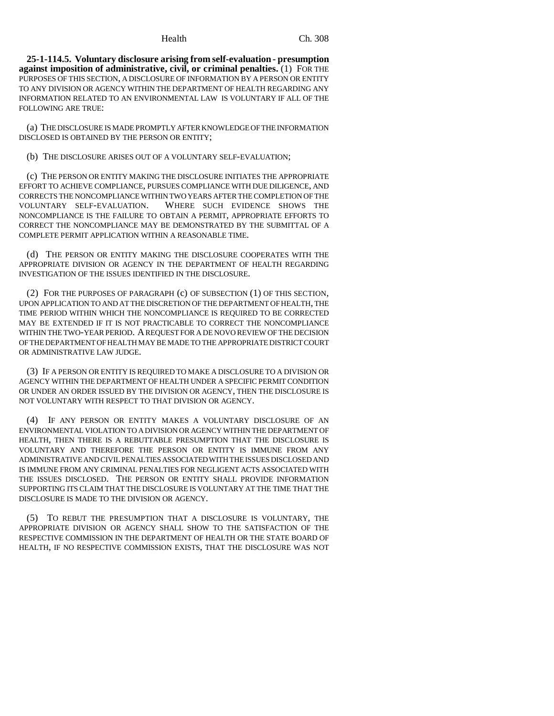**25-1-114.5. Voluntary disclosure arising from self-evaluation - presumption against imposition of administrative, civil, or criminal penalties.** (1) FOR THE PURPOSES OF THIS SECTION, A DISCLOSURE OF INFORMATION BY A PERSON OR ENTITY TO ANY DIVISION OR AGENCY WITHIN THE DEPARTMENT OF HEALTH REGARDING ANY INFORMATION RELATED TO AN ENVIRONMENTAL LAW IS VOLUNTARY IF ALL OF THE FOLLOWING ARE TRUE:

(a) THE DISCLOSURE IS MADE PROMPTLY AFTER KNOWLEDGE OF THE INFORMATION DISCLOSED IS OBTAINED BY THE PERSON OR ENTITY;

(b) THE DISCLOSURE ARISES OUT OF A VOLUNTARY SELF-EVALUATION;

(c) THE PERSON OR ENTITY MAKING THE DISCLOSURE INITIATES THE APPROPRIATE EFFORT TO ACHIEVE COMPLIANCE, PURSUES COMPLIANCE WITH DUE DILIGENCE, AND CORRECTS THE NONCOMPLIANCE WITHIN TWO YEARS AFTER THE COMPLETION OF THE VOLUNTARY SELF-EVALUATION. WHERE SUCH EVIDENCE SHOWS THE NONCOMPLIANCE IS THE FAILURE TO OBTAIN A PERMIT, APPROPRIATE EFFORTS TO CORRECT THE NONCOMPLIANCE MAY BE DEMONSTRATED BY THE SUBMITTAL OF A COMPLETE PERMIT APPLICATION WITHIN A REASONABLE TIME.

(d) THE PERSON OR ENTITY MAKING THE DISCLOSURE COOPERATES WITH THE APPROPRIATE DIVISION OR AGENCY IN THE DEPARTMENT OF HEALTH REGARDING INVESTIGATION OF THE ISSUES IDENTIFIED IN THE DISCLOSURE.

(2) FOR THE PURPOSES OF PARAGRAPH (c) OF SUBSECTION (1) OF THIS SECTION, UPON APPLICATION TO AND AT THE DISCRETION OF THE DEPARTMENT OF HEALTH, THE TIME PERIOD WITHIN WHICH THE NONCOMPLIANCE IS REQUIRED TO BE CORRECTED MAY BE EXTENDED IF IT IS NOT PRACTICABLE TO CORRECT THE NONCOMPLIANCE WITHIN THE TWO-YEAR PERIOD. A REQUEST FOR A DE NOVO REVIEW OF THE DECISION OF THE DEPARTMENT OF HEALTH MAY BE MADE TO THE APPROPRIATE DISTRICT COURT OR ADMINISTRATIVE LAW JUDGE.

(3) IF A PERSON OR ENTITY IS REQUIRED TO MAKE A DISCLOSURE TO A DIVISION OR AGENCY WITHIN THE DEPARTMENT OF HEALTH UNDER A SPECIFIC PERMIT CONDITION OR UNDER AN ORDER ISSUED BY THE DIVISION OR AGENCY, THEN THE DISCLOSURE IS NOT VOLUNTARY WITH RESPECT TO THAT DIVISION OR AGENCY.

(4) IF ANY PERSON OR ENTITY MAKES A VOLUNTARY DISCLOSURE OF AN ENVIRONMENTAL VIOLATION TO A DIVISION OR AGENCY WITHIN THE DEPARTMENT OF HEALTH, THEN THERE IS A REBUTTABLE PRESUMPTION THAT THE DISCLOSURE IS VOLUNTARY AND THEREFORE THE PERSON OR ENTITY IS IMMUNE FROM ANY ADMINISTRATIVE AND CIVIL PENALTIES ASSOCIATED WITH THE ISSUES DISCLOSED AND IS IMMUNE FROM ANY CRIMINAL PENALTIES FOR NEGLIGENT ACTS ASSOCIATED WITH THE ISSUES DISCLOSED. THE PERSON OR ENTITY SHALL PROVIDE INFORMATION SUPPORTING ITS CLAIM THAT THE DISCLOSURE IS VOLUNTARY AT THE TIME THAT THE DISCLOSURE IS MADE TO THE DIVISION OR AGENCY.

(5) TO REBUT THE PRESUMPTION THAT A DISCLOSURE IS VOLUNTARY, THE APPROPRIATE DIVISION OR AGENCY SHALL SHOW TO THE SATISFACTION OF THE RESPECTIVE COMMISSION IN THE DEPARTMENT OF HEALTH OR THE STATE BOARD OF HEALTH, IF NO RESPECTIVE COMMISSION EXISTS, THAT THE DISCLOSURE WAS NOT